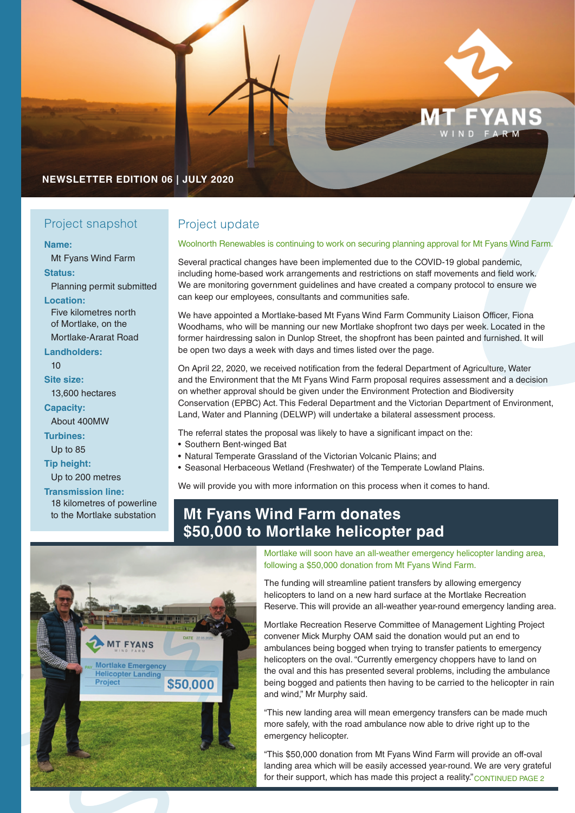

### **NEWSLETTER EDITION 06 | JULY 2020**

### Project snapshot

### **Name:**

Mt Fyans Wind Farm

### **Status:**

Planning permit submitted

**Location:** Five kilometres north of Mortlake, on the

Mortlake-Ararat Road **Landholders:**

 $1<sub>0</sub>$ 

**Site size:**

13,600 hectares

**Capacity:**

About 400MW **Turbines:**

Up to 85

**Tip height:**

Up to 200 metres

**Transmission line:** 18 kilometres of powerline to the Mortlake substation

## Project update

### Woolnorth Renewables is continuing to work on securing planning approval for Mt Fyans Wind Farm.

Several practical changes have been implemented due to the COVID-19 global pandemic, including home-based work arrangements and restrictions on staff movements and field work. We are monitoring government guidelines and have created a company protocol to ensure we can keep our employees, consultants and communities safe.

We have appointed a Mortlake-based Mt Fyans Wind Farm Community Liaison Officer, Fiona Woodhams, who will be manning our new Mortlake shopfront two days per week. Located in the former hairdressing salon in Dunlop Street, the shopfront has been painted and furnished. It will be open two days a week with days and times listed over the page.

On April 22, 2020, we received notification from the federal Department of Agriculture, Water and the Environment that the Mt Fyans Wind Farm proposal requires assessment and a decision on whether approval should be given under the Environment Protection and Biodiversity Conservation (EPBC) Act. This Federal Department and the Victorian Department of Environment, Land, Water and Planning (DELWP) will undertake a bilateral assessment process.

The referral states the proposal was likely to have a significant impact on the:

- Southern Bent-winged Bat
- Natural Temperate Grassland of the Victorian Volcanic Plains; and
- Seasonal Herbaceous Wetland (Freshwater) of the Temperate Lowland Plains.

We will provide you with more information on this process when it comes to hand.

# **Mt Fyans Wind Farm donates \$50,000 to Mortlake helicopter pad**



Mortlake will soon have an all-weather emergency helicopter landing area, following a \$50,000 donation from Mt Fyans Wind Farm.

The funding will streamline patient transfers by allowing emergency helicopters to land on a new hard surface at the Mortlake Recreation Reserve. This will provide an all-weather year-round emergency landing area.

Mortlake Recreation Reserve Committee of Management Lighting Project convener Mick Murphy OAM said the donation would put an end to ambulances being bogged when trying to transfer patients to emergency helicopters on the oval. "Currently emergency choppers have to land on the oval and this has presented several problems, including the ambulance being bogged and patients then having to be carried to the helicopter in rain and wind," Mr Murphy said.

"This new landing area will mean emergency transfers can be made much more safely, with the road ambulance now able to drive right up to the emergency helicopter.

"This \$50,000 donation from Mt Fyans Wind Farm will provide an off-oval landing area which will be easily accessed year-round. We are very grateful for their support, which has made this project a reality." CONTINUED PAGE 2